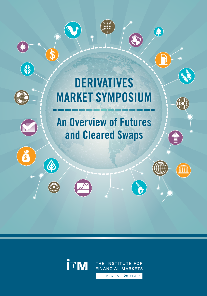## **DERIVATIVES MARKET SYMPOSIUM**

 $\bigoplus$ 

 $\sqrt{\frac{2}{5}}$ 

 $\boldsymbol{\mathfrak{p}}$ 

**A** 

O

Contractor

## **An Overview of Futures** and Cleared Swaps



THE INSTITUTE FOR **FINANCIAL MARKETS** 

CELEBRATING 25 YEARS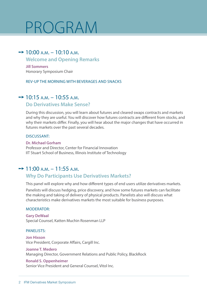## PROGRAM

## $\rightarrow$  10:00 a.m. – 10:10 a.m.

### **Welcome and Opening Remarks**

**Jill Sommers** Honorary Symposium Chair

#### Rev-up the Morning with Beverages and Snacks

## $\rightarrow$  10:15 a.m. – 10:55 a.m.

#### **Do Derivatives Make Sense?**

During this discussion, you will learn about futures and cleared swaps contracts and markets and why they are useful. You will discover how futures contracts are different from stocks, and why their markets differ. Finally, you will hear about the major changes that have occurred in futures markets over the past several decades.

#### Discussant:

#### **Dr. Michael Gorham**

Professor and Director, Center for Financial Innovation IIT Stuart School of Business, Illinois Institute of Technology

### $\rightarrow$  11:00 a.m. – 11:55 a.m.

### **Why Do Participants Use Derivatives Markets?**

This panel will explore why and how different types of end users utilize derivatives markets.

Panelists will discuss hedging, price discovery, and how some futures markets can facilitate the making and taking of delivery of physical products. Panelists also will discuss what characteristics make derivatives markets the most suitable for business purposes.

#### Moderator:

**Gary DeWaal** Special Counsel, Katten Muchin Rosenman LLP

#### panelists:

**Jon Hixson** Vice President, Corporate Affairs, Cargill Inc.

#### **Joanne T. Medero**

Managing Director, Government Relations and Public Policy, BlackRock

#### **Ronald S. Oppenheimer**

Senior Vice President and General Counsel, Vitol Inc.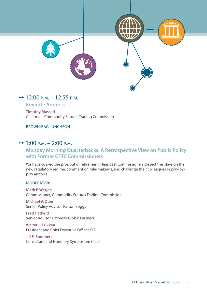

## $\rightarrow$  12:00 p.m. – 12:55 p.m.

**Keynote Address**

**Timothy Massad** Chairman, Commodity Futures Trading Commission

Brown-Bag Luncheon

## $\rightarrow$  1:00 p.m. – 2:00 p.m.

## **Monday Morning Quarterbacks: A Retrospective View on Public Policy with Former CFTC Commissioners**

We have coaxed the pros out of retirement. Hear past Commissioners dissect the plays on the new regulatory regime, comment on rule-makings, and challenge their colleagues in play-byplay analysis.

#### MODERATOR<sup>.</sup>

**Mark P. Wetjen** Commissioner, Commodity Futures Trading Commission

**Michael V. Dunn** Senior Policy Advisor, Patton Boggs

**Fred Hatfield** Senior Advisor, Patomak Global Partners

**Walter L. Lukken** President and Chief Executive Officer, FIA

**Jill E. Sommers** Consultant and Honorary Symposium Chair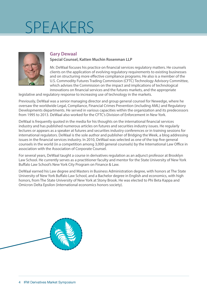

#### **Gary Dewaal Special Counsel, Katten Muchin Rosenman LLP**

Mr. DeWaal focuses his practice on financial services regulatory matters. He counsels clients on the application of evolving regulatory requirements to existing businesses and on structuring more effective compliance programs. He also is a member of the U.S. Commodity Futures Trading Commission (CFTC) Technology Advisory Committee, which advises the Commission on the impact and implications of technological innovations on financial services and the futures markets, and the appropriate

legislative and regulatory response to increasing use of technology in the markets.

Previously, DeWaal was a senior managing director and group general counsel for Newedge, where he oversaw the worldwide Legal, Compliance, Financial Crimes Prevention (including AML) and Regulatory Developments departments. He served in various capacities within the organization and its predecessors from 1995 to 2013. DeWaal also worked for the CFTC's Division of Enforcement in New York.

DeWaal is frequently quoted in the media for his thoughts on the international financial services industry and has published numerous articles on futures and securities industry issues. He regularly lectures or appears as a speaker at futures and securities industry conferences or in training sessions for international regulators. DeWaal is the sole author and publisher of Bridging the Week, a blog addressing issues in the financial services industry. In 2010, DeWaal was selected as one of the top five general counsels in the world (in a competition among 3,000 general counsels) by the International Law Office in association with the Association of Corporate Counsel.

For several years, DeWaal taught a course in derivatives regulation as an adjunct professor at Brooklyn Law School. He currently serves as a practitioner faculty and mentor for the State University of New York Buffalo Law School's New York City Program on Finance & Law.

DeWaal earned his Law degree and Masters in Business Administration degree, with honors at The State University of New York Buffalo Law School, and a Bachelor degree in English and economics, with high honors, from The State University of New York at Stony Brook. He was elected to Phi Beta Kappa and Omicron Delta Epsilon (international economics honors society).

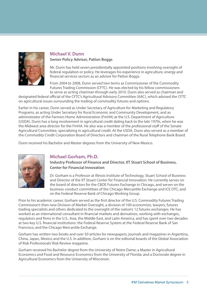

#### **Michael V. Dunn Senior Policy Advisor, Patton Boggs**

Mr. Dunn has held seven presidentially appointed positions involving oversight of federal regulation or policy. He leverages his experience in agriculture, energy and financial services sectors as an advisor for Patton Boggs.

From 2004 to 2008, Dunn served two terms as Commissioner of the Commodity Futures Trading Commission (CFTC). He was elected by his fellow commissioners to serve as acting chairman through early 2010. Dunn also served as chairman and

designated federal official of the CFTC's Agricultural Advisory Committee (AAC), which advised the CFTC on agricultural issues surrounding the trading of commodity futures and options.

Earlier in his career, Dunn served as Under Secretary of Agriculture for Marketing and Regulatory Programs, as acting Under Secretary for Rural Economic and Community Development, and as administrator of the Farmers Home Administration (FmHA) at the U.S. Department of Agriculture (USDA). Dunn has a long involvement in agricultural credit dating back to the late 1970s, when he was the Midwest area director for the FmHA. He also was a member of the professional staff of the Senate Agricultural Committee, specializing in agricultural credit. At the USDA, Dunn also served as a member of the Commodity Credit Corporation Board of Directors and chairman of the Rural Telephone Bank Board.

Dunn received his Bachelor and Master degrees from the University of New Mexico.



## **Michael Gorham, Ph.D.**

**Industry Professor of Finance and Director, IIT Stuart School of Business, Center for Financial Innovation**

Dr. Gorham is a Professor at Illinois Institute of Technology, Stuart School of Business and Director of the IIT Stuart Center for Financial Innovation. He currently serves on the board of directors for the CBOE Futures Exchange in Chicago, and serves on the business conduct committees of the Chicago Mercantile Exchange and ICE OTC; and on the Federal Reserve Bank of Chicago Working Group.

Prior to his academic career, Gorham served as the first director of the U.S. Commodity Futures Trading Commission's then new Division of Market Oversight, a division of 100 economists, lawyers, futures trading specialists and others dedicated to the oversight of the nation's 12 futures exchanges. He has worked as an international consultant in financial markets and derivatives, working with exchanges, regulators and firms in the U.S., Asia, the Middle East, and Latin America, and has spent over two decades at two key U.S. financial institutions: the Federal Reserve System at the Federal Reserve Bank of San Francisco, and the Chicago Mercantile Exchange.

Gorham has written two books and over 50 articles for newspapers, journals and magazines in Argentina, China, Japan, Mexico and the U.S. In addition, Gorham is on the editorial boards of the Global Association of Risk Professionals' Risk Review magazine.

Gorham received his Bachelor degree from the University of Notre Dame; a Master in Agricultural Economics and Food and Resource Economics from the University of Florida; and a Doctorate degree in Agricultural Economics from the University of Wisconsin.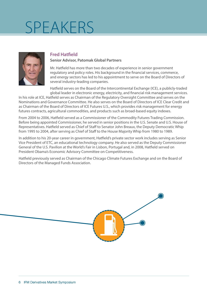

## **Fred Hatfield**

#### **Senior Advisor, Patomak Global Partners**

Mr. Hatfield has more than two decades of experience in senior government regulatory and policy roles. His background in the financial services, commerce, and energy sectors has led to his appointment to serve on the Board of Directors of several industry-leading companies.

Hatfield serves on the Board of the Intercontinental Exchange (ICE), a publicly-traded global leader in electronic energy, electricity, and financial risk management services.

In his role at ICE, Hatfield serves as Chairman of the Regulatory Oversight Committee and serves on the Nominations and Governance Committee. He also serves on the Board of Directors of ICE Clear Credit and as Chairman of the Board of Directors of ICE Futures U.S., which provides risk management for energy futures contracts, agricultural commodities, and products such as broad-based equity indexes.

From 2004 to 2006, Hatfield served as a Commissioner of the Commodity Futures Trading Commission. Before being appointed Commissioner, he served in senior positions in the U.S. Senate and U.S. House of Representatives. Hatfield served as Chief of Staff to Senator John Breaux, the Deputy Democratic Whip from 1995 to 2004, after serving as Chief of Staff to the House Majority Whip from 1980 to 1989.

In addition to his 20-year career in government, Hatfield's private sector work includes serving as Senior Vice President of ETC, an educational technology company. He also served as the Deputy Commissioner General of the U.S. Pavilion at the World's Fair in Lisbon, Portugal and, in 2008, Hatfield served on President Obama's Economic Advisory Committee on Competitiveness.

Hatfield previously served as Chairman of the Chicago Climate Futures Exchange and on the Board of Directors of the Managed Funds Association.

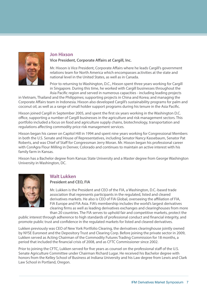

#### **Jon Hixson**

**Vice President, Corporate Affairs at Cargill, Inc.**

Mr. Hixson is Vice President, Corporate Affairs where he leads Cargill's government relations team for North America which encompasses activities at the state and national level in the United States, as well as in Canada.

Prior to returning to Washington, D.C., Hixson spent three years working for Cargill in Singapore. During this time, he worked with Cargill businesses throughout the Asia Pacific region and served in numerous capacities - including leading projects

in Vietnam, Thailand and the Philippines; supporting projects in China and Korea; and managing the Corporate Affairs team in Indonesia. Hixson also developed Cargill's sustainability programs for palm and coconut oil, as well as a range of small holder support programs during his tenure in the Asia Pacific.

Hixson joined Cargill in September 2005, and spent the first six years working in the Washington D.C. office, supporting a number of Cargill businesses in the agriculture and risk management sectors. This portfolio included a focus on food and agriculture supply chains, biotechnology, transportation and regulations affecting commodity price risk management services.

Hixson began his career on Capitol Hill in 1994 and spent nine years working for Congressional Members in both the U.S. Senate and House of Representatives, including Senator Nancy Kassebaum, Senator Pat Roberts, and was Chief of Staff for Congressman Jerry Moran. Mr. Hixson began his professional career with ConAgra Flour Milling in Denver, Colorado and continues to maintain an active interest with his family farm in Kansas.

Hixson has a Bachelor degree from Kansas State University and a Master degree from George Washington University in Washington, DC.



## **Walt Lukken**

**President and CEO, FIA**

Mr. Lukken is the President and CEO of the FIA, a Washington, D.C.-based trade association that represents participants in the regulated, listed and cleared derivatives markets. He also is CEO of FIA Global, overseeing the affiliation of FIA, FIA Europe and FIA Asia. FIA's membership includes the world's largest derivatives clearing firms as well as leading derivatives exchanges and clearinghouses from more than 20 countries. The FIA serves to uphold fair and competitive markets, protect the

public interest through adherence to high standards of professional conduct and financial integrity, and promote public trust and confidence in the regulated markets for listed and cleared derivatives.

Lukken previously was CEO of New York Portfolio Clearing, the derivatives clearinghouse jointly owned by NYSE Euronext and the Depository Trust and Clearing Corp. Before joining the private sector in 2009, Lukken served as Acting Chairman of the Commodity Futures Trading Commission for 18 months, a period that included the financial crisis of 2008, and as CFTC Commissioner since 2002.

Prior to joining the CFTC, Lukken served for five years as counsel on the professional staff of the U.S. Senate Agriculture Committee under Chairman Richard Lugar. He received his Bachelor degree with honors from the Kelley School of Business at Indiana University and his Law degree from Lewis and Clark Law School in Portland, Oregon.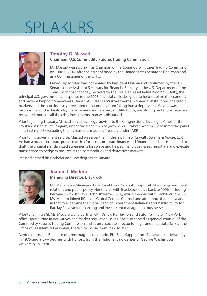

## **Timothy G. Massad**

#### **Chairman, U.S. Commodity Futures Trading Commission**

Mr. Massad was sworn-in as Chairman of the Commodity Futures Trading Commission on June 5, 2014, after being confirmed by the United States Senate as Chairman and as a Commissioner of the CFTC.

Previously, Massad was nominated by President Obama and confirmed by the U.S. Senate as the Assistant Secretary for Financial Stability at the U.S. Department of the Treasury. In that capacity, he oversaw the Troubled Asset Relief Program (TARP), the

principal U.S. governmental response to the 2008 financial crisis designed to help stabilize the economy and provide help to homeowners. Under TARP, Treasury's investments in financial institutions, the credit markets and the auto industry prevented the economy from falling into a depression. Massad was responsible for the day-to-day management and recovery of TARP funds, and during his tenure, Treasury recovered more on all the crisis investments than was disbursed.

Prior to joining Treasury, Massad served as a legal advisor to the Congressional Oversight Panel for the Troubled Asset Relief Program, under the leadership of (now Sen.) Elizabeth Warren. He assisted the panel in its first report evaluating the investments made by Treasury under TARP.

Prior to his government service, Massad was a partner in the law firm of Cravath, Swaine & Moore, LLP. He had a broad corporate practice with a focus on corporate finance and financial markets. He helped to draft the original standardized agreements for swaps and helped many businesses negotiate and execute transactions to hedge exposures in the commodities and derivatives markets.

Massad earned his Bachelor and Law degrees at Harvard.



### **Joanne T. Medero**

#### **Managing Director, Blackrock**

Ms. Medero is a Managing Director at BlackRock with responsibilities for government relations and public policy. Her service with BlackRock dates back to 1996, including her years with Barclays Global Investors (BGI), which merged with BlackRock in 2009. Ms. Medero joined BGI as its Global General Counsel and after more than ten years in that role, became the global head of Government Relations and Public Policy for Barclays' investment banking and investment management businesses.

Prior to joining BGI, Ms. Medero was a partner with Orrick, Herrington and Sutcliffe, in their New York office, specializing in derivatives and market regulation issues. She also served as general counsel of the Commodity Futures Trading Commission and as an associate director for legal and financial affairs at the Office of Presidential Personnel, The White House, from 1986 to 1989.

Medero earned a Bachelor degree, magna cum laude, Phi Beta Kappa, from St. Lawrence University in 1975 and a Law degree, with honors, from the National Law Center of George Washington University in 1978.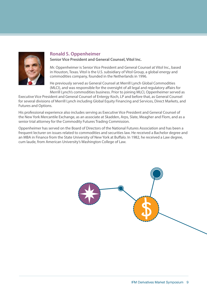

### **Ronald S. Oppenheimer**

**Senior Vice President and General Counsel, Vitol Inc.**

Mr. Oppenheimer is Senior Vice President and General Counsel at Vitol Inc., based in Houston, Texas. Vitol is the U.S. subsidiary of Vitol Group, a global energy and commodities company, founded in the Netherlands in 1996.

He previously served as General Counsel at Merrill Lynch Global Commodities (MLCI), and was responsible for the oversight of all legal and regulatory affairs for Merrill Lynch's commodities business. Prior to joining MLCI, Oppenheimer served as

Executive Vice President and General Counsel of Entergy Koch, LP and before that, as General Counsel for several divisions of Merrill Lynch including Global Equity Financing and Services, Direct Markets, and Futures and Options.

His professional experience also includes serving as Executive Vice President and General Counsel of the New York Mercantile Exchange, as an associate at Skadden, Arps, Slate, Meagher and Flom, and as a senior trial attorney for the Commodity Futures Trading Commission.

Oppenheimer has served on the Board of Directors of the National Futures Association and has been a frequent lecturer on issues related to commodities and securities law. He received a Bachelor degree and an MBA in Finance from the State University of New York at Buffalo. In 1982, he received a Law degree, cum laude, from American University's Washington College of Law.

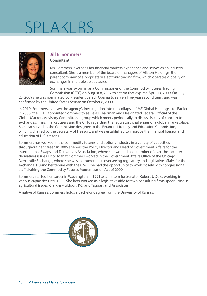

#### **Jill E. Sommers Consultant**

Ms. Sommers leverages her financial markets experience and serves as an industry consultant. She is a member of the board of managers of Allston Holdings, the parent company of a proprietary electronic trading firm, which operates globally on exchanges in multiple asset classes.

Sommers was sworn in as a Commissioner of the Commodity Futures Trading Commission (CFTC) on August 8, 2007 to a term that expired April 13, 2009. On July

20, 2009 she was nominated by President Barack Obama to serve a five-year second term, and was confirmed by the United States Senate on October 8, 2009.

In 2010, Sommers oversaw the agency's investigation into the collapse of MF Global Holdings Ltd. Earlier in 2008, the CFTC appointed Sommers to serve as Chairman and Designated Federal Official of the Global Markets Advisory Committee, a group which meets periodically to discuss issues of concern to exchanges, firms, market users and the CFTC regarding the regulatory challenges of a global marketplace. She also served as the Commission designee to the Financial Literacy and Education Commission, which is chaired by the Secretary of Treasury, and was established to improve the financial literacy and education of U.S. citizens.

Sommers has worked in the commodity futures and options industry in a variety of capacities throughout her career. In 2005 she was the Policy Director and Head of Government Affairs for the International Swaps and Derivatives Association, where she worked on a number of over-the-counter derivatives issues. Prior to that, Sommers worked in the Government Affairs Office of the Chicago Mercantile Exchange, where she was instrumental in overseeing regulatory and legislative affairs for the exchange. During her tenure with the CME, she had the opportunity to work closely with congressional staff drafting the Commodity Futures Modernization Act of 2000.

Sommers started her career in Washington in 1991 as an intern for Senator Robert J. Dole, working in various capacities until 1995. She later worked as a legislative aide for two consulting firms specializing in agricultural issues, Clark & Muldoon, P.C. and Taggart and Associates.

A native of Kansas, Sommers holds a Bachelor degree from the University of Kansas.

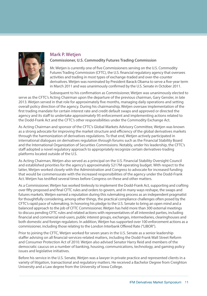

#### **Mark P. Wetjen Commissioner, U.S. Commodity Futures Trading Commission**

Mr. Wetjen is currently one of five Commissioners serving on the U.S. Commodity Futures Trading Commission (CFTC), the U.S. financial regulatory agency that oversees activities and trading in most types of exchange-traded and over-the-counter derivatives. Wetjen was nominated by President Barack Obama to serve a five-year term in March 2011 and was unanimously confirmed by the U.S. Senate in October 2011.

Subsequent to his confirmation as Commissioner, Wetjen was unanimously elected to serve as the CFTC's Acting Chairman upon the departure of the previous chairman, Gary Gensler, in late 2013. Wetjen served in that role for approximately five months, managing daily operations and setting overall policy direction of the agency. During his chairmanship, Wetjen oversaw implementation of the first trading mandate for certain interest rate and credit default swaps and approved or directed the agency and its staff to undertake approximately 95 enforcement and implementing actions related to the Dodd-Frank Act and the CFTC's other responsibilities under the Commodity Exchange Act.

As Acting Chairman and sponsor of the CFTC's Global Markets Advisory Committee, Wetjen was known as a strong advocate for improving the market structure and efficiency of the global derivatives markets through the harmonization of derivatives regulations. To that end, Wetjen actively participated in international dialogues on derivatives regulation through forums such as the Financial Stability Board and the International Organization of Securities Commissions. Notably, under his leadership, the CFTC's staff adopted a novel regulatory approach to appropriately recognize certain derivatives-trading platforms located outside of the U.S.

As Acting Chairman, Wetjen also served as a principal on the U.S. Financial Stability Oversight Council and established priorities for the agency's approximately \$217M operating budget. With respect to the latter, Wetjen worked closely with the Administration and Congress to advocate for increased funding that would be commensurate with the increased responsibilities of the agency under the Dodd-Frank Act. Wetjen has testified several times before Congress on these and other matters.

As a Commissioner, Wetjen has worked tirelessly to implement the Dodd-Frank Act, supporting and crafting over fifty proposed and final CFTC rules and orders to govern, and in many ways reshape, the swaps and futures markets. Wetjen earned a reputation during this rulemaking process as an independent pragmatist for thoughtfully considering, among other things, the practical compliance challenges often posed by the CFTC's rapid pace of rulemaking. In honoring his pledge to the U.S. Senate to bring an open mind and a balanced approach to the job of CFTC Commissioner, Wetjen has held more than 300 external meetings to discuss pending CFTC rules and related actions with representatives of all interested parties, including financial and commercial end-users, public interest groups, exchanges, intermediaries, clearinghouses and both domestic and foreign regulators. In addition, Wetjen has supported over 100 enforcement actions as a commissioner, including those relating to the London Interbank Offered Rate ("LIBOR").

Prior to joining the CFTC, Wetjen worked for seven years in the U.S. Senate as a senior leadership staffer advising on all financial-services-related matters, including the Dodd-Frank Wall Street Reform and Consumer Protection Act of 2010. Wetjen also advised Senator Harry Reid and members of the democratic caucus on a number of banking, housing, communications, technology, and gaming policy issues and legislative initiatives.

Before his service in the U.S. Senate, Wetjen was a lawyer in private practice and represented clients in a variety of litigation, transactional and regulatory matters. He received a Bachelor Degree from Creighton University and a Law degree from the University of Iowa College.